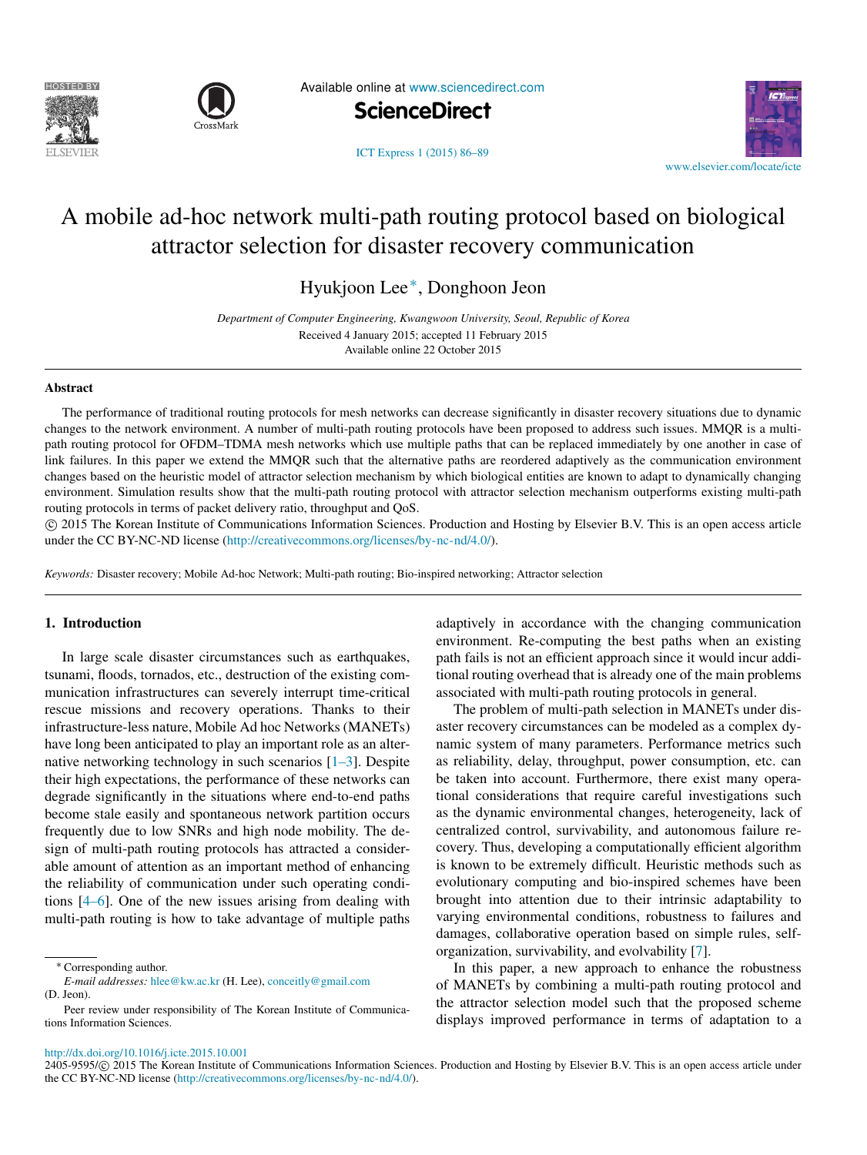



Available online at [www.sciencedirect.com](http://www.elsevier.com/locate/icte)

**ScienceDirect**



[ICT Express 1 \(2015\) 86–89](http://dx.doi.org/10.1016/j.icte.2015.10.001)

# A mobile ad-hoc network multi-path routing protocol based on biological attractor selection for disaster recovery communicatio[n](#page-0-0)

Hyukjoon Lee[∗](#page-0-1) , Donghoon Jeon

*Department of Computer Engineering, Kwangwoon University, Seoul, Republic of Korea* Received 4 January 2015; accepted 11 February 2015 Available online 22 October 2015

#### Abstract

The performance of traditional routing protocols for mesh networks can decrease significantly in disaster recovery situations due to dynamic changes to the network environment. A number of multi-path routing protocols have been proposed to address such issues. MMQR is a multipath routing protocol for OFDM–TDMA mesh networks which use multiple paths that can be replaced immediately by one another in case of link failures. In this paper we extend the MMQR such that the alternative paths are reordered adaptively as the communication environment changes based on the heuristic model of attractor selection mechanism by which biological entities are known to adapt to dynamically changing environment. Simulation results show that the multi-path routing protocol with attractor selection mechanism outperforms existing multi-path routing protocols in terms of packet delivery ratio, throughput and QoS.

⃝c 2015 The Korean Institute of Communications Information Sciences. Production and Hosting by Elsevier B.V. This is an open access article under the CC BY-NC-ND license [\(http://creativecommons.org/licenses/by-nc-nd/4.0/\)](http://creativecommons.org/licenses/by-nc-nd/4.0/).

*Keywords:* Disaster recovery; Mobile Ad-hoc Network; Multi-path routing; Bio-inspired networking; Attractor selection

## 1. Introduction

In large scale disaster circumstances such as earthquakes, tsunami, floods, tornados, etc., destruction of the existing communication infrastructures can severely interrupt time-critical rescue missions and recovery operations. Thanks to their infrastructure-less nature, Mobile Ad hoc Networks (MANETs) have long been anticipated to play an important role as an alternative networking technology in such scenarios  $[1-3]$ . Despite their high expectations, the performance of these networks can degrade significantly in the situations where end-to-end paths become stale easily and spontaneous network partition occurs frequently due to low SNRs and high node mobility. The design of multi-path routing protocols has attracted a considerable amount of attention as an important method of enhancing the reliability of communication under such operating conditions [\[4–6\]](#page--1-1). One of the new issues arising from dealing with multi-path routing is how to take advantage of multiple paths

<span id="page-0-1"></span><sup>∗</sup> Corresponding author.

*E-mail addresses:* [hlee@kw.ac.kr](mailto:hlee@kw.ac.kr) (H. Lee), [conceitly@gmail.com](mailto:conceitly@gmail.com) (D. Jeon).

adaptively in accordance with the changing communication environment. Re-computing the best paths when an existing path fails is not an efficient approach since it would incur additional routing overhead that is already one of the main problems associated with multi-path routing protocols in general.

The problem of multi-path selection in MANETs under disaster recovery circumstances can be modeled as a complex dynamic system of many parameters. Performance metrics such as reliability, delay, throughput, power consumption, etc. can be taken into account. Furthermore, there exist many operational considerations that require careful investigations such as the dynamic environmental changes, heterogeneity, lack of centralized control, survivability, and autonomous failure recovery. Thus, developing a computationally efficient algorithm is known to be extremely difficult. Heuristic methods such as evolutionary computing and bio-inspired schemes have been brought into attention due to their intrinsic adaptability to varying environmental conditions, robustness to failures and damages, collaborative operation based on simple rules, selforganization, survivability, and evolvability [\[7\]](#page--1-2).

In this paper, a new approach to enhance the robustness of MANETs by combining a multi-path routing protocol and the attractor selection model such that the proposed scheme displays improved performance in terms of adaptation to a

<span id="page-0-0"></span>Peer review under responsibility of The Korean Institute of Communications Information Sciences.

<http://dx.doi.org/10.1016/j.icte.2015.10.001>

<sup>2405-9595/© 2015</sup> The Korean Institute of Communications Information Sciences. Production and Hosting by Elsevier B.V. This is an open access article under the CC BY-NC-ND license [\(http://creativecommons.org/licenses/by-nc-nd/4.0/\)](http://creativecommons.org/licenses/by-nc-nd/4.0/).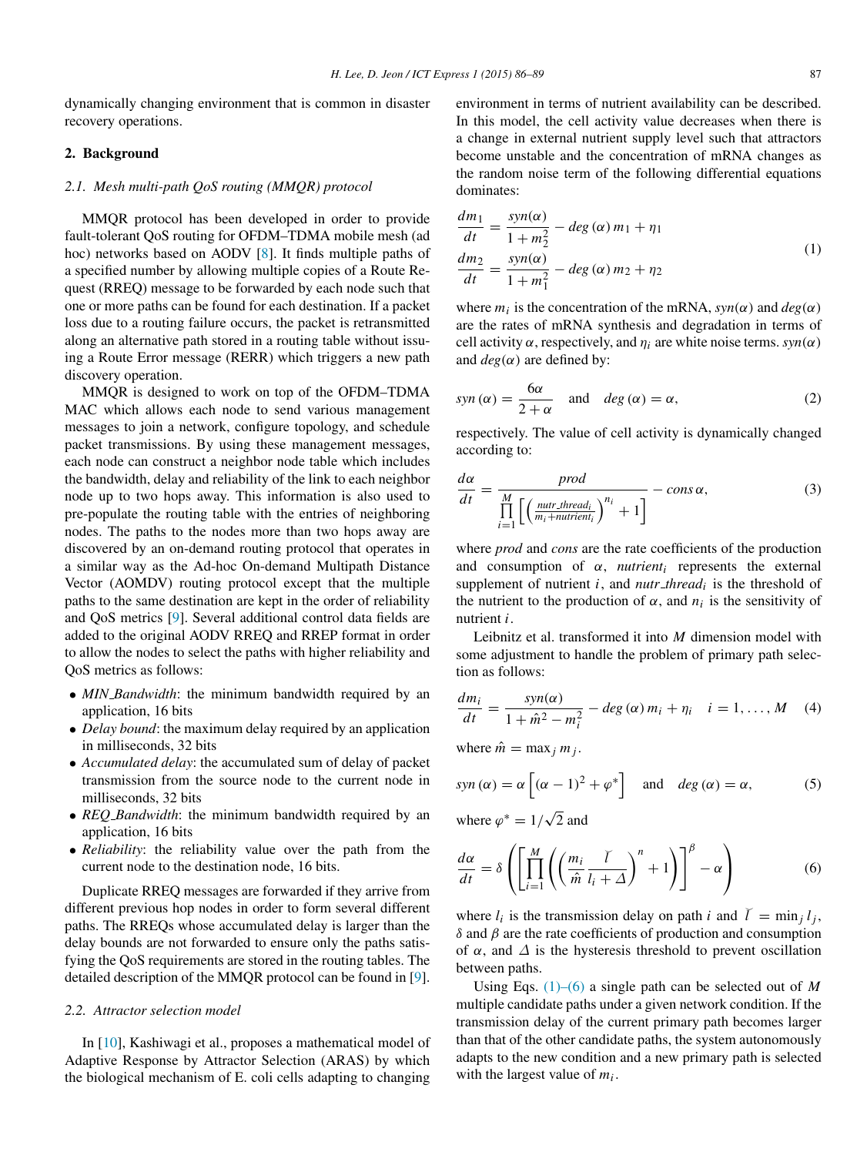dynamically changing environment that is common in disaster recovery operations.

## 2. Background

### *2.1. Mesh multi-path QoS routing (MMQR) protocol*

MMQR protocol has been developed in order to provide fault-tolerant QoS routing for OFDM–TDMA mobile mesh (ad hoc) networks based on AODV [\[8\]](#page--1-3). It finds multiple paths of a specified number by allowing multiple copies of a Route Request (RREQ) message to be forwarded by each node such that one or more paths can be found for each destination. If a packet loss due to a routing failure occurs, the packet is retransmitted along an alternative path stored in a routing table without issuing a Route Error message (RERR) which triggers a new path discovery operation.

MMQR is designed to work on top of the OFDM–TDMA MAC which allows each node to send various management messages to join a network, configure topology, and schedule packet transmissions. By using these management messages, each node can construct a neighbor node table which includes the bandwidth, delay and reliability of the link to each neighbor node up to two hops away. This information is also used to pre-populate the routing table with the entries of neighboring nodes. The paths to the nodes more than two hops away are discovered by an on-demand routing protocol that operates in a similar way as the Ad-hoc On-demand Multipath Distance Vector (AOMDV) routing protocol except that the multiple paths to the same destination are kept in the order of reliability and QoS metrics [\[9\]](#page--1-4). Several additional control data fields are added to the original AODV RREQ and RREP format in order to allow the nodes to select the paths with higher reliability and QoS metrics as follows:

- *MIN Bandwidth*: the minimum bandwidth required by an application, 16 bits
- *Delay bound*: the maximum delay required by an application in milliseconds, 32 bits
- *Accumulated delay*: the accumulated sum of delay of packet transmission from the source node to the current node in milliseconds, 32 bits
- *REQ Bandwidth*: the minimum bandwidth required by an application, 16 bits
- *Reliability*: the reliability value over the path from the current node to the destination node, 16 bits.

Duplicate RREQ messages are forwarded if they arrive from different previous hop nodes in order to form several different paths. The RREQs whose accumulated delay is larger than the delay bounds are not forwarded to ensure only the paths satisfying the QoS requirements are stored in the routing tables. The detailed description of the MMQR protocol can be found in [\[9\]](#page--1-4).

#### *2.2. Attractor selection model*

In [\[10\]](#page--1-5), Kashiwagi et al., proposes a mathematical model of Adaptive Response by Attractor Selection (ARAS) by which the biological mechanism of E. coli cells adapting to changing

environment in terms of nutrient availability can be described. In this model, the cell activity value decreases when there is a change in external nutrient supply level such that attractors become unstable and the concentration of mRNA changes as the random noise term of the following differential equations dominates:

<span id="page-1-0"></span>
$$
\frac{dm_1}{dt} = \frac{syn(\alpha)}{1 + m_2^2} - deg(\alpha) m_1 + \eta_1
$$
  

$$
\frac{dm_2}{dt} = \frac{syn(\alpha)}{1 + m_1^2} - deg(\alpha) m_2 + \eta_2
$$
 (1)

where  $m_i$  is the concentration of the mRNA,  $syn(\alpha)$  and  $deg(\alpha)$ are the rates of mRNA synthesis and degradation in terms of cell activity  $\alpha$ , respectively, and  $\eta_i$  are white noise terms.  $syn(\alpha)$ and  $deg(\alpha)$  are defined by:

$$
syn\left(\alpha\right) = \frac{6\alpha}{2+\alpha} \quad \text{and} \quad deg\left(\alpha\right) = \alpha,\tag{2}
$$

respectively. The value of cell activity is dynamically changed according to:

$$
\frac{d\alpha}{dt} = \frac{prod}{\prod_{i=1}^{M} \left[ \left( \frac{nutr\_thread_i}{m_i + nutrient_i} \right)^{n_i} + 1 \right]} - cons \alpha,
$$
\n(3)

where *prod* and *cons* are the rate coefficients of the production and consumption of  $\alpha$ , *nutrient<sub>i</sub>* represents the external supplement of nutrient  $i$ , and  $nutr\_thread_i$  is the threshold of the nutrient to the production of  $\alpha$ , and  $n_i$  is the sensitivity of nutrient *i*.

Leibnitz et al. transformed it into *M* dimension model with some adjustment to handle the problem of primary path selection as follows:

$$
\frac{dm_i}{dt} = \frac{syn(\alpha)}{1 + \hat{m}^2 - m_i^2} - \deg(\alpha) m_i + \eta_i \quad i = 1, \dots, M \quad (4)
$$

where  $\hat{m} = \max_j m_j$ .

$$
syn\left(\alpha\right) = \alpha \left[ \left(\alpha - 1\right)^2 + \varphi^* \right] \quad \text{and} \quad deg\left(\alpha\right) = \alpha,\tag{5}
$$

where  $\varphi^* = 1/\sqrt{2}$ 2 and

$$
\frac{d\alpha}{dt} = \delta \left( \left[ \prod_{i=1}^{M} \left( \left( \frac{m_i}{\hat{m}} \frac{\tilde{l}}{l_i + \Delta} \right)^n + 1 \right) \right]^\beta - \alpha \right) \tag{6}
$$

where  $l_i$  is the transmission delay on path *i* and  $\tilde{l} = \min_j l_j$ , δ and β are the rate coefficients of production and consumption of  $\alpha$ , and  $\Delta$  is the hysteresis threshold to prevent oscillation between paths.

Using Eqs. [\(1\)–\(6\)](#page-1-0) a single path can be selected out of *M* multiple candidate paths under a given network condition. If the transmission delay of the current primary path becomes larger than that of the other candidate paths, the system autonomously adapts to the new condition and a new primary path is selected with the largest value of *m<sup>i</sup>* .